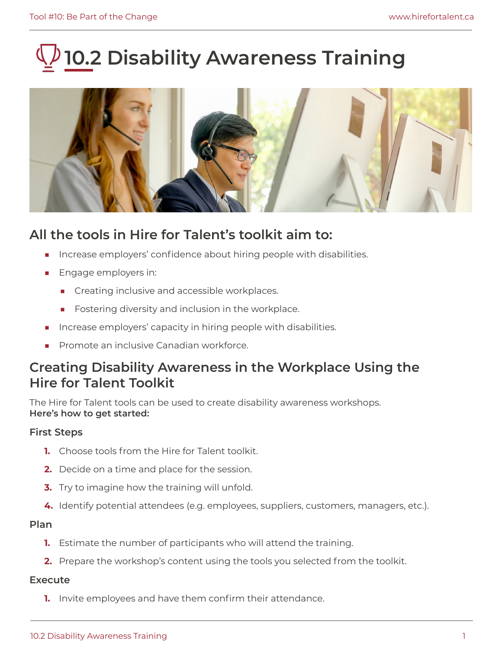# **10.2 Disability Awareness Training**



## **All the tools in Hire for Talent's toolkit aim to:**

- Increase employers' confidence about hiring people with disabilities.
- Engage employers in:
	- Creating inclusive and accessible workplaces.
	- Fostering diversity and inclusion in the workplace.
- Increase employers' capacity in hiring people with disabilities.
- Promote an inclusive Canadian workforce.

## **Creating Disability Awareness in the Workplace Using the Hire for Talent Toolkit**

The Hire for Talent tools can be used to create disability awareness workshops. **Here's how to get started:** 

### **First Steps**

- **1.** Choose tools from the Hire for Talent toolkit.
- **2.** Decide on a time and place for the session.
- **3.** Try to imagine how the training will unfold.
- **4.** Identify potential attendees (e.g. employees, suppliers, customers, managers, etc.).

#### **Plan**

- **1.** Estimate the number of participants who will attend the training.
- **2.** Prepare the workshop's content using the tools you selected from the toolkit.

#### **Execute**

**1.** Invite employees and have them confirm their attendance.